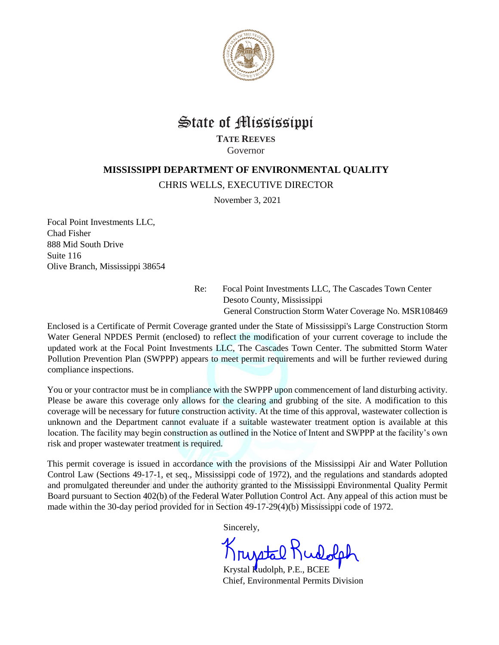

## State of Mississippi

**TATE REEVES** Governor

## **MISSISSIPPI DEPARTMENT OF ENVIRONMENTAL QUALITY**

CHRIS WELLS, EXECUTIVE DIRECTOR

November 3, 2021

Focal Point Investments LLC, Chad Fisher 888 Mid South Drive Suite 116 Olive Branch, Mississippi 38654

> Re: Focal Point Investments LLC, The Cascades Town Center Desoto County, Mississippi General Construction Storm Water Coverage No. MSR108469

Enclosed is a Certificate of Permit Coverage granted under the State of Mississippi's Large Construction Storm Water General NPDES Permit (enclosed) to reflect the modification of your current coverage to include the updated work at the Focal Point Investments LLC, The Cascades Town Center. The submitted Storm Water Pollution Prevention Plan (SWPPP) appears to meet permit requirements and will be further reviewed during compliance inspections.

You or your contractor must be in compliance with the SWPPP upon commencement of land disturbing activity. Please be aware this coverage only allows for the clearing and grubbing of the site. A modification to this coverage will be necessary for future construction activity. At the time of this approval, wastewater collection is unknown and the Department cannot evaluate if a suitable wastewater treatment option is available at this location. The facility may begin construction as outlined in the Notice of Intent and SWPPP at the facility's own risk and proper wastewater treatment is required.

This permit coverage is issued in accordance with the provisions of the Mississippi Air and Water Pollution Control Law (Sections 49-17-1, et seq., Mississippi code of 1972), and the regulations and standards adopted and promulgated thereunder and under the authority granted to the Mississippi Environmental Quality Permit Board pursuant to Section 402(b) of the Federal Water Pollution Control Act. Any appeal of this action must be made within the 30-day period provided for in Section 49-17-29(4)(b) Mississippi code of 1972.

Sincerely,

Krystal

Krystal Rudolph, P.E., BCEE Chief, Environmental Permits Division